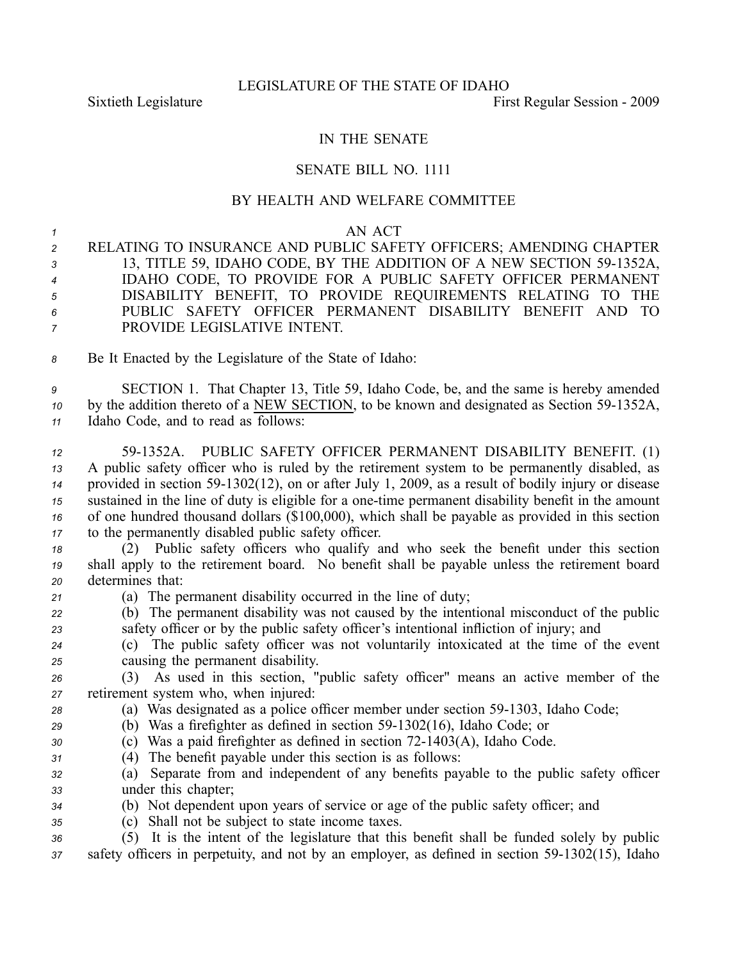## IN THE SENATE

## SENATE BILL NO. 1111

## BY HEALTH AND WELFARE COMMITTEE

## *<sup>1</sup>* AN ACT

- *<sup>2</sup>* RELATING TO INSURANCE AND PUBLIC SAFETY OFFICERS; AMENDING CHAPTER *<sup>3</sup>* 13, TITLE 59, IDAHO CODE, BY THE ADDITION OF A NEW SECTION 591352A, *<sup>4</sup>* IDAHO CODE, TO PROVIDE FOR A PUBLIC SAFETY OFFICER PERMANENT *<sup>5</sup>* DISABILITY BENEFIT, TO PROVIDE REQUIREMENTS RELATING TO THE *6* PUBLIC SAFETY OFFICER PERMANENT DISABILITY BENEFIT AND TO *<sup>7</sup>* PROVIDE LEGISLATIVE INTENT.
- *<sup>8</sup>* Be It Enacted by the Legislature of the State of Idaho:

*<sup>9</sup>* SECTION 1. That Chapter 13, Title 59, Idaho Code, be, and the same is hereby amended *10* by the addition thereto of a NEW SECTION, to be known and designated as Section 59-1352A, *<sup>11</sup>* Idaho Code, and to read as follows:

 591352A. PUBLIC SAFETY OFFICER PERMANENT DISABILITY BENEFIT. (1) A public safety officer who is ruled by the retirement system to be permanently disabled, as provided in section 591302(12), on or after July 1, 2009, as <sup>a</sup> result of bodily injury or disease sustained in the line of duty is eligible for a one-time permanent disability benefit in the amount of one hundred thousand dollars (\$100,000), which shall be payable as provided in this section to the permanently disabled public safety officer.

- *<sup>18</sup>* (2) Public safety officers who qualify and who seek the benefit under this section *<sup>19</sup>* shall apply to the retirement board. No benefit shall be payable unless the retirement board *<sup>20</sup>* determines that:
- *<sup>21</sup>* (a) The permanen<sup>t</sup> disability occurred in the line of duty;
- *<sup>22</sup>* (b) The permanen<sup>t</sup> disability was not caused by the intentional misconduct of the public *<sup>23</sup>* safety officer or by the public safety officer's intentional infliction of injury; and
- *<sup>24</sup>* (c) The public safety officer was not voluntarily intoxicated at the time of the event *<sup>25</sup>* causing the permanen<sup>t</sup> disability.
- *<sup>26</sup>* (3) As used in this section, "public safety officer" means an active member of the *<sup>27</sup>* retirement system who, when injured:
- 28 (a) Was designated as a police officer member under section 59-1303, Idaho Code;
- *<sup>29</sup>* (b) Was <sup>a</sup> firefighter as defined in section 591302(16), Idaho Code; or
- *<sup>30</sup>* (c) Was <sup>a</sup> paid firefighter as defined in section 721403(A), Idaho Code.
- *<sup>31</sup>* (4) The benefit payable under this section is as follows:
- *<sup>32</sup>* (a) Separate from and independent of any benefits payable to the public safety officer *<sup>33</sup>* under this chapter;
- *<sup>34</sup>* (b) Not dependent upon years of service or age of the public safety officer; and
- *<sup>35</sup>* (c) Shall not be subject to state income taxes.
- *<sup>36</sup>* (5) It is the intent of the legislature that this benefit shall be funded solely by public 37 safety officers in perpetuity, and not by an employer, as defined in section 59-1302(15), Idaho